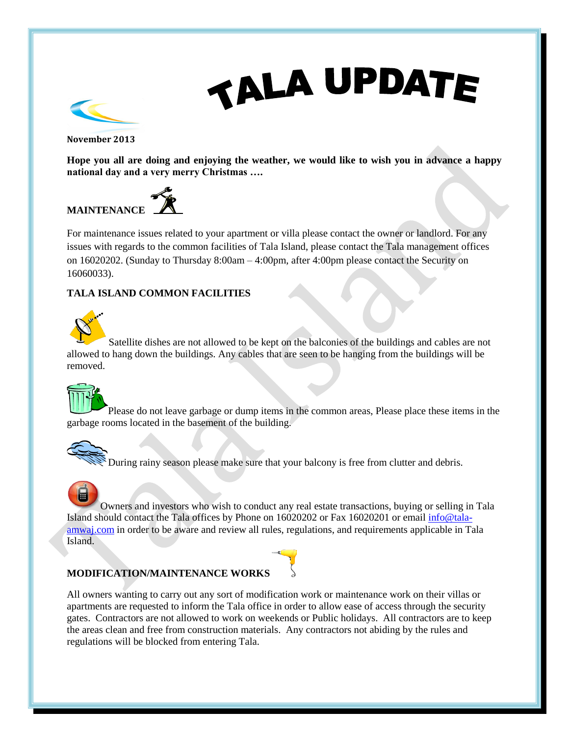# **TALA UPDATE**



**November 2013**

**Hope you all are doing and enjoying the weather, we would like to wish you in advance a happy national day and a very merry Christmas ….**

# **MAINTENANCE**



For maintenance issues related to your apartment or villa please contact the owner or landlord. For any issues with regards to the common facilities of Tala Island, please contact the Tala management offices on 16020202. (Sunday to Thursday 8:00am – 4:00pm, after 4:00pm please contact the Security on 16060033).

## **TALA ISLAND COMMON FACILITIES**



Satellite dishes are not allowed to be kept on the balconies of the buildings and cables are not allowed to hang down the buildings. Any cables that are seen to be hanging from the buildings will be removed.



Please do not leave garbage or dump items in the common areas, Please place these items in the garbage rooms located in the basement of the building.

## During rainy season please make sure that your balcony is free from clutter and debris.

Owners and investors who wish to conduct any real estate transactions, buying or selling in Tala Island should contact the Tala offices by Phone on 16020202 or Fax 16020201 or email [info@tala](mailto:info@tala-amwaj.com)[amwaj.com](mailto:info@tala-amwaj.com) in order to be aware and review all rules, regulations, and requirements applicable in Tala Island.

# **MODIFICATION/MAINTENANCE WORKS**



All owners wanting to carry out any sort of modification work or maintenance work on their villas or apartments are requested to inform the Tala office in order to allow ease of access through the security gates. Contractors are not allowed to work on weekends or Public holidays. All contractors are to keep the areas clean and free from construction materials. Any contractors not abiding by the rules and regulations will be blocked from entering Tala.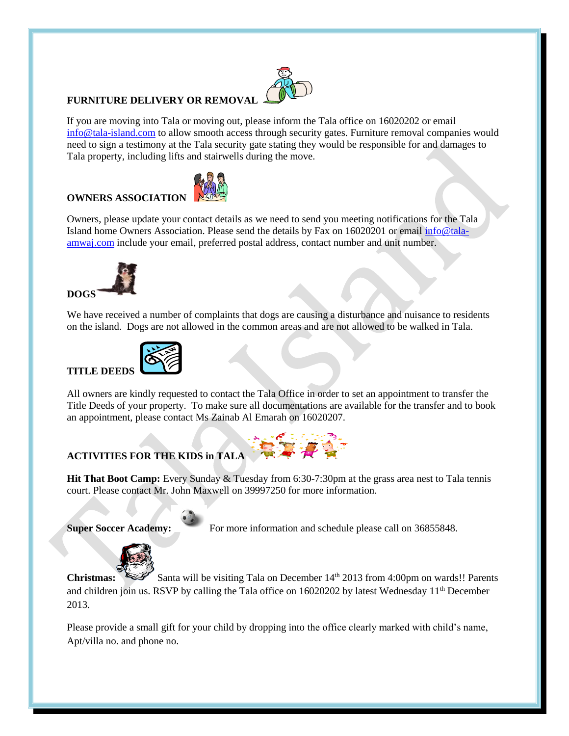#### **FURNITURE DELIVERY OR REMOVA**

If you are moving into Tala or moving out, please inform the Tala office on 16020202 or email [info@tala-island.com](mailto:info@tala-island.com) to allow smooth access through security gates. Furniture removal companies would need to sign a testimony at the Tala security gate stating they would be responsible for and damages to Tala property, including lifts and stairwells during the move.



## **OWNERS ASSOCIATION**

Owners, please update your contact details as we need to send you meeting notifications for the Tala Island home Owners Association. Please send the details by Fax on 16020201 or email [info@tala](mailto:info@tala-amwaj.com)[amwaj.com](mailto:info@tala-amwaj.com) include your email, preferred postal address, contact number and unit number.



We have received a number of complaints that dogs are causing a disturbance and nuisance to residents on the island. Dogs are not allowed in the common areas and are not allowed to be walked in Tala.



All owners are kindly requested to contact the Tala Office in order to set an appointment to transfer the Title Deeds of your property. To make sure all documentations are available for the transfer and to book an appointment, please contact Ms Zainab Al Emarah on 16020207.



**Hit That Boot Camp:** Every Sunday & Tuesday from 6:30-7:30pm at the grass area nest to Tala tennis court. Please contact Mr. John Maxwell on 39997250 for more information.

**Super Soccer Academy:** For more information and schedule please call on 36855848.



Christmas: Santa will be visiting Tala on December 14<sup>th</sup> 2013 from 4:00pm on wards!! Parents and children join us. RSVP by calling the Tala office on  $16020202$  by latest Wednesday  $11<sup>th</sup>$  December 2013.

Please provide a small gift for your child by dropping into the office clearly marked with child's name, Apt/villa no. and phone no.